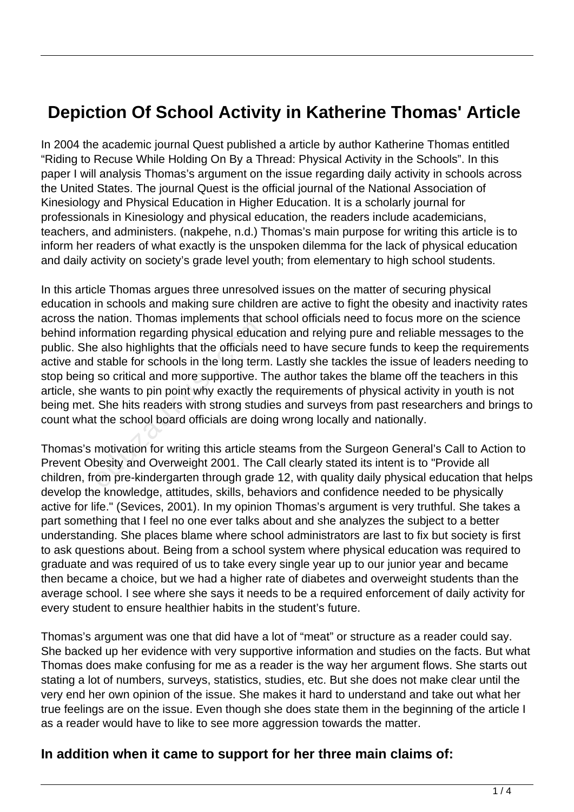## **Depiction Of School Activity in Katherine Thomas' Article**

In 2004 the academic journal Quest published a article by author Katherine Thomas entitled "Riding to Recuse While Holding On By a Thread: Physical Activity in the Schools". In this paper I will analysis Thomas's argument on the issue regarding daily activity in schools across the United States. The journal Quest is the official journal of the National Association of Kinesiology and Physical Education in Higher Education. It is a scholarly journal for professionals in Kinesiology and physical education, the readers include academicians, teachers, and administers. (nakpehe, n.d.) Thomas's main purpose for writing this article is to inform her readers of what exactly is the unspoken dilemma for the lack of physical education and daily activity on society's grade level youth; from elementary to high school students.

In this article Thomas argues three unresolved issues on the matter of securing physical education in schools and making sure children are active to fight the obesity and inactivity rates across the nation. Thomas implements that school officials need to focus more on the science behind information regarding physical education and relying pure and reliable messages to the public. She also highlights that the officials need to have secure funds to keep the requirements active and stable for schools in the long term. Lastly she tackles the issue of leaders needing to stop being so critical and more supportive. The author takes the blame off the teachers in this article, she wants to pin point why exactly the requirements of physical activity in youth is not being met. She hits readers with strong studies and surveys from past researchers and brings to count what the school board officials are doing wrong locally and nationally. by the above the presence of the process also highlights that the officials n<br>stable for schools in the long term<br>so critical and more supportive. T<br>e wants to pin point why exactly th<br>She hits readers with strong stud<br>t t

Thomas's motivation for writing this article steams from the Surgeon General's Call to Action to Prevent Obesity and Overweight 2001. The Call clearly stated its intent is to "Provide all children, from pre-kindergarten through grade 12, with quality daily physical education that helps develop the knowledge, attitudes, skills, behaviors and confidence needed to be physically active for life." (Sevices, 2001). In my opinion Thomas's argument is very truthful. She takes a part something that I feel no one ever talks about and she analyzes the subject to a better understanding. She places blame where school administrators are last to fix but society is first to ask questions about. Being from a school system where physical education was required to graduate and was required of us to take every single year up to our junior year and became then became a choice, but we had a higher rate of diabetes and overweight students than the average school. I see where she says it needs to be a required enforcement of daily activity for every student to ensure healthier habits in the student's future.

Thomas's argument was one that did have a lot of "meat" or structure as a reader could say. She backed up her evidence with very supportive information and studies on the facts. But what Thomas does make confusing for me as a reader is the way her argument flows. She starts out stating a lot of numbers, surveys, statistics, studies, etc. But she does not make clear until the very end her own opinion of the issue. She makes it hard to understand and take out what her true feelings are on the issue. Even though she does state them in the beginning of the article I as a reader would have to like to see more aggression towards the matter.

## **In addition when it came to support for her three main claims of:**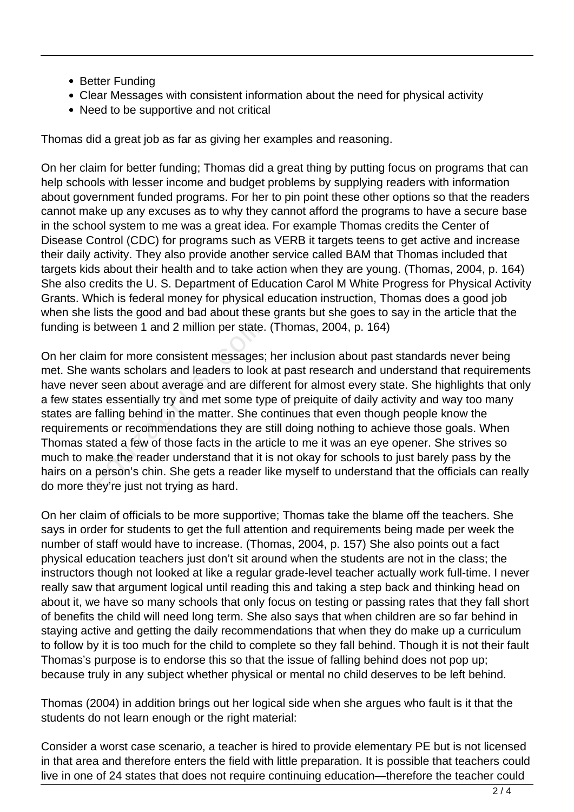- Better Funding
- Clear Messages with consistent information about the need for physical activity
- Need to be supportive and not critical

Thomas did a great job as far as giving her examples and reasoning.

On her claim for better funding; Thomas did a great thing by putting focus on programs that can help schools with lesser income and budget problems by supplying readers with information about government funded programs. For her to pin point these other options so that the readers cannot make up any excuses as to why they cannot afford the programs to have a secure base in the school system to me was a great idea. For example Thomas credits the Center of Disease Control (CDC) for programs such as VERB it targets teens to get active and increase their daily activity. They also provide another service called BAM that Thomas included that targets kids about their health and to take action when they are young. (Thomas, 2004, p. 164) She also credits the U. S. Department of Education Carol M White Progress for Physical Activity Grants. Which is federal money for physical education instruction, Thomas does a good job when she lists the good and bad about these grants but she goes to say in the article that the funding is between 1 and 2 million per state. (Thomas, 2004, p. 164)

On her claim for more consistent messages; her inclusion about past standards never being met. She wants scholars and leaders to look at past research and understand that requirements have never seen about average and are different for almost every state. She highlights that only a few states essentially try and met some type of preiquite of daily activity and way too many states are falling behind in the matter. She continues that even though people know the requirements or recommendations they are still doing nothing to achieve those goals. When Thomas stated a few of those facts in the article to me it was an eye opener. She strives so much to make the reader understand that it is not okay for schools to just barely pass by the hairs on a person's chin. She gets a reader like myself to understand that the officials can really do more they're just not trying as hard. between 1 and 2 million per state.<br>im for more consistent messages;<br>vants scholars and leaders to look<br>r seen about average and are differences<br>sessentially try and met some ty<br>falling behind in the matter. She conts or re

On her claim of officials to be more supportive; Thomas take the blame off the teachers. She says in order for students to get the full attention and requirements being made per week the number of staff would have to increase. (Thomas, 2004, p. 157) She also points out a fact physical education teachers just don't sit around when the students are not in the class; the instructors though not looked at like a regular grade-level teacher actually work full-time. I never really saw that argument logical until reading this and taking a step back and thinking head on about it, we have so many schools that only focus on testing or passing rates that they fall short of benefits the child will need long term. She also says that when children are so far behind in staying active and getting the daily recommendations that when they do make up a curriculum to follow by it is too much for the child to complete so they fall behind. Though it is not their fault Thomas's purpose is to endorse this so that the issue of falling behind does not pop up; because truly in any subject whether physical or mental no child deserves to be left behind.

Thomas (2004) in addition brings out her logical side when she argues who fault is it that the students do not learn enough or the right material:

Consider a worst case scenario, a teacher is hired to provide elementary PE but is not licensed in that area and therefore enters the field with little preparation. It is possible that teachers could live in one of 24 states that does not require continuing education—therefore the teacher could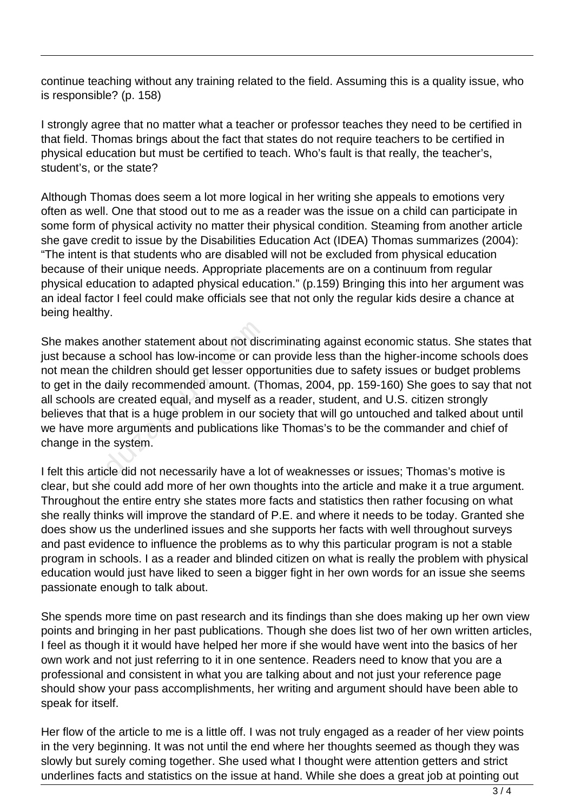continue teaching without any training related to the field. Assuming this is a quality issue, who is responsible? (p. 158)

I strongly agree that no matter what a teacher or professor teaches they need to be certified in that field. Thomas brings about the fact that states do not require teachers to be certified in physical education but must be certified to teach. Who's fault is that really, the teacher's, student's, or the state?

Although Thomas does seem a lot more logical in her writing she appeals to emotions very often as well. One that stood out to me as a reader was the issue on a child can participate in some form of physical activity no matter their physical condition. Steaming from another article she gave credit to issue by the Disabilities Education Act (IDEA) Thomas summarizes (2004): "The intent is that students who are disabled will not be excluded from physical education because of their unique needs. Appropriate placements are on a continuum from regular physical education to adapted physical education." (p.159) Bringing this into her argument was an ideal factor I feel could make officials see that not only the regular kids desire a chance at being healthy.

She makes another statement about not discriminating against economic status. She states that just because a school has low-income or can provide less than the higher-income schools does not mean the children should get lesser opportunities due to safety issues or budget problems to get in the daily recommended amount. (Thomas, 2004, pp. 159-160) She goes to say that not all schools are created equal, and myself as a reader, student, and U.S. citizen strongly believes that that is a huge problem in our society that will go untouched and talked about until we have more arguments and publications like Thomas's to be the commander and chief of change in the system. s another statement about not dise<br>se a school has low-income or can<br>the children should get lesser oppe<br>e daily recommended amount. (There created equal, and myself as<br>tat that is a huge problem in our se<br>nore arguments a

I felt this article did not necessarily have a lot of weaknesses or issues; Thomas's motive is clear, but she could add more of her own thoughts into the article and make it a true argument. Throughout the entire entry she states more facts and statistics then rather focusing on what she really thinks will improve the standard of P.E. and where it needs to be today. Granted she does show us the underlined issues and she supports her facts with well throughout surveys and past evidence to influence the problems as to why this particular program is not a stable program in schools. I as a reader and blinded citizen on what is really the problem with physical education would just have liked to seen a bigger fight in her own words for an issue she seems passionate enough to talk about.

She spends more time on past research and its findings than she does making up her own view points and bringing in her past publications. Though she does list two of her own written articles, I feel as though it it would have helped her more if she would have went into the basics of her own work and not just referring to it in one sentence. Readers need to know that you are a professional and consistent in what you are talking about and not just your reference page should show your pass accomplishments, her writing and argument should have been able to speak for itself.

Her flow of the article to me is a little off. I was not truly engaged as a reader of her view points in the very beginning. It was not until the end where her thoughts seemed as though they was slowly but surely coming together. She used what I thought were attention getters and strict underlines facts and statistics on the issue at hand. While she does a great job at pointing out